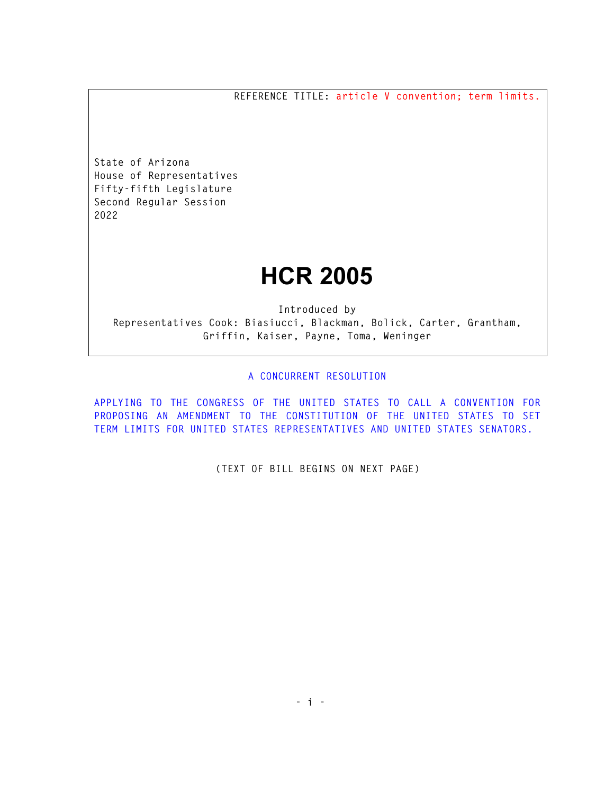**REFERENCE TITLE: article V convention; term limits.** 

**State of Arizona House of Representatives Fifty-fifth Legislature Second Regular Session 2022** 

## **HCR 2005**

**Introduced by Representatives Cook: Biasiucci, Blackman, Bolick, Carter, Grantham, Griffin, Kaiser, Payne, Toma, Weninger** 

## **A CONCURRENT RESOLUTION**

**APPLYING TO THE CONGRESS OF THE UNITED STATES TO CALL A CONVENTION FOR PROPOSING AN AMENDMENT TO THE CONSTITUTION OF THE UNITED STATES TO SET TERM LIMITS FOR UNITED STATES REPRESENTATIVES AND UNITED STATES SENATORS.** 

**(TEXT OF BILL BEGINS ON NEXT PAGE)**